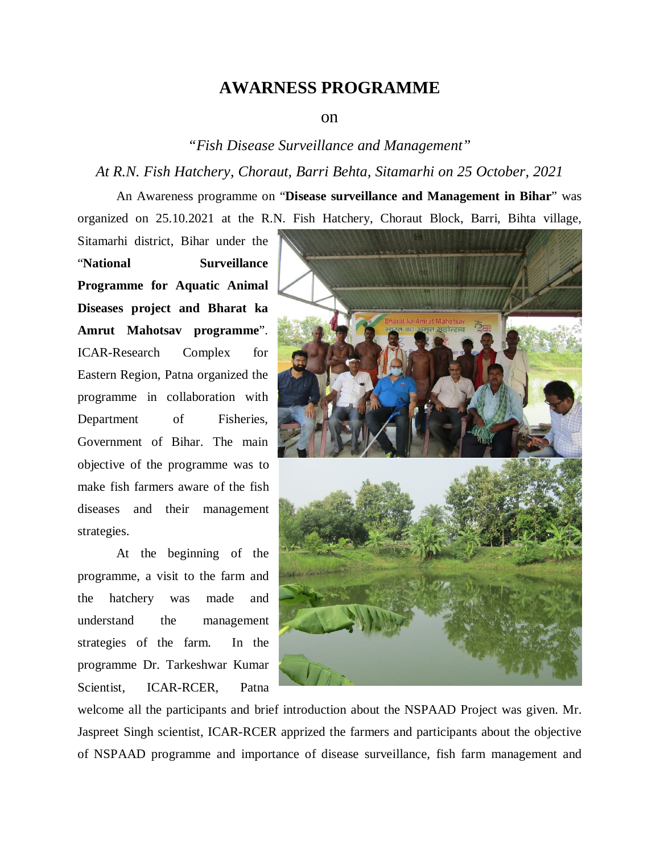## **AWARNESS PROGRAMME**

## on

*"Fish Disease Surveillance and Management"*

*At R.N. Fish Hatchery, Choraut, Barri Behta, Sitamarhi on 25 October, 2021*

An Awareness programme on "**Disease surveillance and Management in Bihar**" was organized on 25.10.2021 at the R.N. Fish Hatchery, Choraut Block, Barri, Bihta village,

Sitamarhi district, Bihar under the "**National Surveillance Programme for Aquatic Animal Diseases project and Bharat ka Amrut Mahotsav programme**". ICAR-Research Complex for Eastern Region, Patna organized the programme in collaboration with Department of Fisheries, Government of Bihar. The main objective of the programme was to make fish farmers aware of the fish diseases and their management strategies.

At the beginning of the programme, a visit to the farm and the hatchery was made and understand the management strategies of the farm. In the programme Dr. Tarkeshwar Kumar Scientist, ICAR-RCER, Patna



welcome all the participants and brief introduction about the NSPAAD Project was given. Mr. Jaspreet Singh scientist, ICAR-RCER apprized the farmers and participants about the objective of NSPAAD programme and importance of disease surveillance, fish farm management and